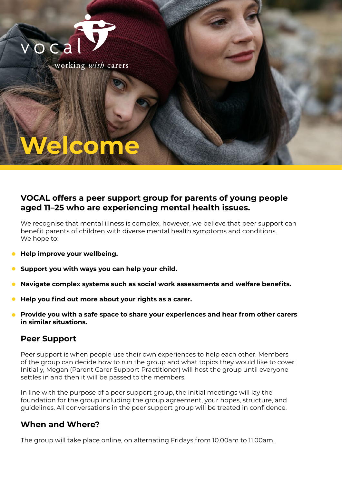



## **VOCAL offers a peer support group for parents of young people aged 11–25 who are experiencing mental health issues.**

We recognise that mental illness is complex, however, we believe that peer support can benefit parents of children with diverse mental health symptoms and conditions. We hope to:

- **. Help improve your wellbeing.**
- **Support you with ways you can help your child. .**
- **Navigate complex systems such as social work assessments and welfare benefits. .**
- **Help you find out more about your rights as a carer. .**
- **Provide you with a safe space to share your experiences and hear from other carers in similar situations. .**

## **Peer Support**

Peer support is when people use their own experiences to help each other. Members of the group can decide how to run the group and what topics they would like to cover. Initially, Megan (Parent Carer Support Practitioner) will host the group until everyone settles in and then it will be passed to the members.

In line with the purpose of a peer support group, the initial meetings will lay the foundation for the group including the group agreement, your hopes, structure, and guidelines. All conversations in the peer support group will be treated in confidence.

## **When and Where?**

The group will take place online, on alternating Fridays from 10.00am to 11.00am.